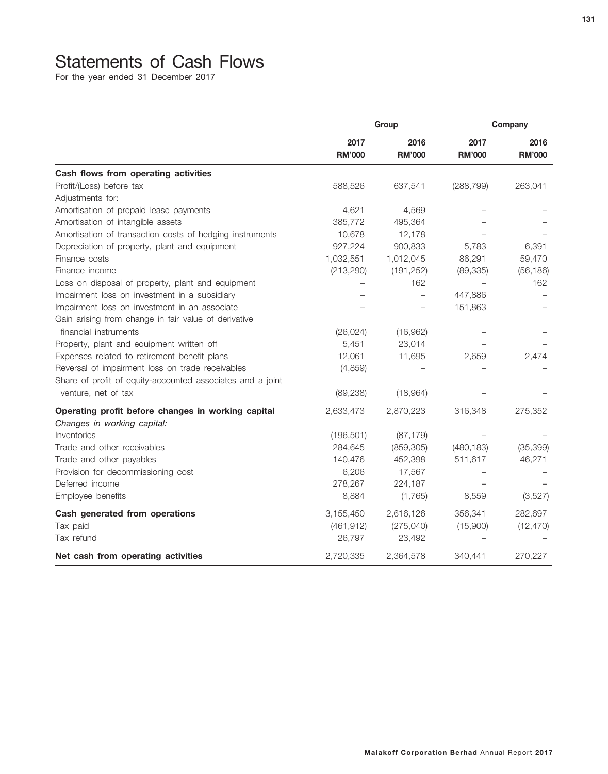## Statements of Cash Flows

For the year ended 31 December 2017

|                                                            | Group                 |                       | Company               |                       |
|------------------------------------------------------------|-----------------------|-----------------------|-----------------------|-----------------------|
|                                                            | 2017<br><b>RM'000</b> | 2016<br><b>RM'000</b> | 2017<br><b>RM'000</b> | 2016<br><b>RM'000</b> |
| Cash flows from operating activities                       |                       |                       |                       |                       |
| Profit/(Loss) before tax                                   | 588,526               | 637,541               | (288, 799)            | 263,041               |
| Adjustments for:                                           |                       |                       |                       |                       |
| Amortisation of prepaid lease payments                     | 4,621                 | 4,569                 |                       |                       |
| Amortisation of intangible assets                          | 385,772               | 495,364               |                       |                       |
| Amortisation of transaction costs of hedging instruments   | 10,678                | 12,178                |                       |                       |
| Depreciation of property, plant and equipment              | 927,224               | 900,833               | 5,783                 | 6,391                 |
| Finance costs                                              | 1,032,551             | 1,012,045             | 86,291                | 59,470                |
| Finance income                                             | (213, 290)            | (191, 252)            | (89, 335)             | (56, 186)             |
| Loss on disposal of property, plant and equipment          |                       | 162                   |                       | 162                   |
| Impairment loss on investment in a subsidiary              |                       | $\qquad \qquad -$     | 447,886               |                       |
| Impairment loss on investment in an associate              |                       |                       | 151,863               |                       |
| Gain arising from change in fair value of derivative       |                       |                       |                       |                       |
| financial instruments                                      | (26, 024)             | (16,962)              |                       |                       |
| Property, plant and equipment written off                  | 5,451                 | 23,014                |                       |                       |
| Expenses related to retirement benefit plans               | 12,061                | 11,695                | 2,659                 | 2,474                 |
| Reversal of impairment loss on trade receivables           | (4,859)               |                       |                       |                       |
| Share of profit of equity-accounted associates and a joint |                       |                       |                       |                       |
| venture, net of tax                                        | (89, 238)             | (18,964)              |                       |                       |
| Operating profit before changes in working capital         | 2,633,473             | 2,870,223             | 316,348               | 275,352               |
| Changes in working capital:                                |                       |                       |                       |                       |
| Inventories                                                | (196, 501)            | (87, 179)             |                       |                       |
| Trade and other receivables                                | 284,645               | (859, 305)            | (480, 183)            | (35, 399)             |
| Trade and other payables                                   | 140,476               | 452,398               | 511,617               | 46,271                |
| Provision for decommissioning cost                         | 6,206                 | 17,567                |                       |                       |
| Deferred income                                            | 278,267               | 224,187               |                       |                       |
| Employee benefits                                          | 8,884                 | (1,765)               | 8,559                 | (3, 527)              |
| Cash generated from operations                             | 3,155,450             | 2,616,126             | 356,341               | 282,697               |
| Tax paid                                                   | (461, 912)            | (275, 040)            | (15,900)              | (12, 470)             |
| Tax refund                                                 | 26,797                | 23,492                |                       |                       |
| Net cash from operating activities                         | 2,720,335             | 2,364,578             | 340,441               | 270,227               |